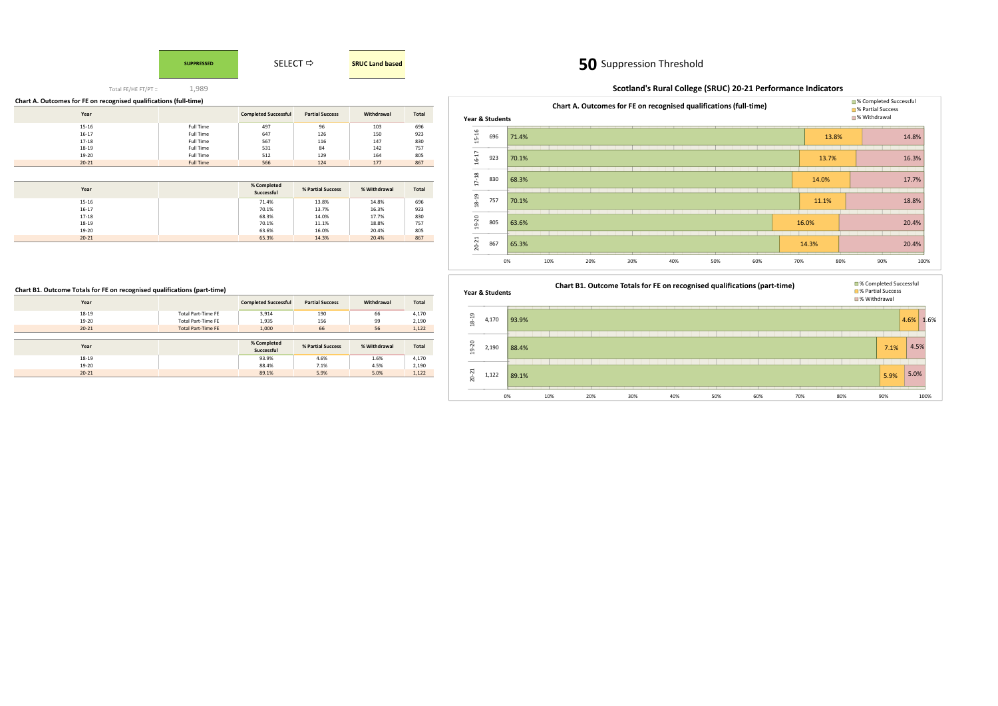# **SUPPRESSED**

# **50** Suppression Threshold

Total FE/HE FT/PT =

1,989

| Chart A. Outcomes for FE on recognised qualifications (full-time) |                  |                             |                        |            |              |
|-------------------------------------------------------------------|------------------|-----------------------------|------------------------|------------|--------------|
| Year                                                              |                  | <b>Completed Successful</b> | <b>Partial Success</b> | Withdrawal | <b>Total</b> |
| 15-16                                                             | <b>Full Time</b> | 497                         | 96                     | 103        | 696          |
| 16-17                                                             | <b>Full Time</b> | 647                         | 126                    | 150        | 923          |
| 17-18                                                             | <b>Full Time</b> | 567                         | 116                    | 147        | 830          |
| 18-19                                                             | <b>Full Time</b> | 531                         | 84                     | 142        | 757          |
| 19-20                                                             | <b>Full Time</b> | 512                         | 129                    | 164        | 805          |
| $20 - 21$                                                         | <b>Full Time</b> | 566                         | 124                    | 177        | 867          |

| Year      | % Completed<br>Successful | % Partial Success | % Withdrawal | Total |
|-----------|---------------------------|-------------------|--------------|-------|
| 15-16     | 71.4%                     | 13.8%             | 14.8%        | 696   |
| $16 - 17$ | 70.1%                     | 13.7%             | 16.3%        | 923   |
| 17-18     | 68.3%                     | 14.0%             | 17.7%        | 830   |
| 18-19     | 70.1%                     | 11.1%             | 18.8%        | 757   |
| 19-20     | 63.6%                     | 16.0%             | 20.4%        | 805   |
| $20 - 21$ | 65.3%                     | 14.3%             | 20.4%        | 867   |



# **Chart B1. Outcome Totals for FE on recognised qualifications (part-time)**

| Year      |                           | <b>Completed Successful</b> | <b>Partial Success</b> | Withdrawal   | Total |
|-----------|---------------------------|-----------------------------|------------------------|--------------|-------|
| 18-19     | <b>Total Part-Time FE</b> | 3,914                       | 190                    | 66           | 4,170 |
| 19-20     | <b>Total Part-Time FE</b> | 1,935                       | 156                    | 99           | 2,190 |
| $20 - 21$ | <b>Total Part-Time FE</b> | 1,000                       | 66                     | 56           | 1,122 |
|           |                           |                             |                        |              |       |
|           |                           |                             |                        |              |       |
| Year      |                           | % Completed<br>Successful   | % Partial Success      | % Withdrawal | Total |
| 18-19     |                           | 93.9%                       | 4.6%                   | 1.6%         | 4,170 |
| 19-20     |                           | 88.4%                       | 7.1%                   | 4.5%         | 2,190 |

# **Scotland's Rural College (SRUC) 20-21 Performance Indicators**



# 93.9%88.4%89.1%0% 10% 20% 30% 40% 50% 60% 70% 80% 90% 100% 4,170 2,190 1,12218-19 19-20 20-21



# **Year & Students**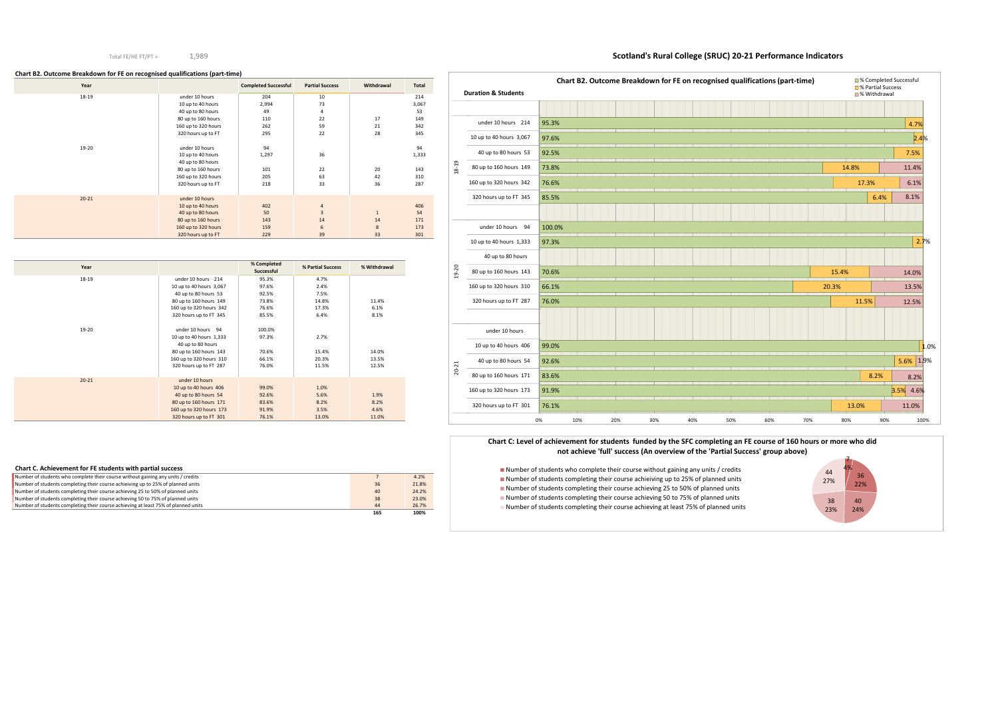### Total FE/HE FT/PT =

1,989

# **Scotland's Rural College (SRUC) 20-21 Performance Indicators**

### **Chart B2. Outcome Breakdown for FE on recognised qualifications (part-time)**

| Year      |                     | <b>Completed Successful</b> | <b>Partial Success</b> | Withdrawal   | Total |
|-----------|---------------------|-----------------------------|------------------------|--------------|-------|
| 18-19     | under 10 hours      | 204                         | 10                     |              | 214   |
|           | 10 up to 40 hours   | 2,994                       | 73                     |              | 3,067 |
|           | 40 up to 80 hours   | 49                          | 4                      |              | 53    |
|           | 80 up to 160 hours  | 110                         | 22                     | 17           | 149   |
|           | 160 up to 320 hours | 262                         | 59                     | 21           | 342   |
|           | 320 hours up to FT  | 295                         | 22                     | 28           | 345   |
|           |                     |                             |                        |              |       |
| 19-20     | under 10 hours      | 94                          |                        |              | 94    |
|           | 10 up to 40 hours   | 1,297                       | 36                     |              | 1,333 |
|           | 40 up to 80 hours   |                             |                        |              |       |
|           | 80 up to 160 hours  | 101                         | 22                     | 20           | 143   |
|           | 160 up to 320 hours | 205                         | 63                     | 42           | 310   |
|           | 320 hours up to FT  | 218                         | 33                     | 36           | 287   |
|           |                     |                             |                        |              |       |
| $20 - 21$ | under 10 hours      |                             |                        |              |       |
|           | 10 up to 40 hours   | 402                         | 4                      |              | 406   |
|           | 40 up to 80 hours   | 50                          | $\overline{3}$         | $\mathbf{1}$ | 54    |
|           | 80 up to 160 hours  | 143                         | 14                     | 14           | 171   |
|           | 160 up to 320 hours | 159                         | 6                      | 8            | 173   |
|           | 320 hours up to FT  | 229                         | 39                     | 33           | 301   |

| Year      |                         | % Completed<br>Successful | % Partial Success | % Withdrawal |
|-----------|-------------------------|---------------------------|-------------------|--------------|
| 18-19     | under 10 hours 214      | 95.3%                     | 4.7%              |              |
|           | 10 up to 40 hours 3,067 | 97.6%                     | 2.4%              |              |
|           | 40 up to 80 hours 53    | 92.5%                     | 7.5%              |              |
|           | 80 up to 160 hours 149  | 73.8%                     | 14.8%             | 11.4%        |
|           | 160 up to 320 hours 342 | 76.6%                     | 17.3%             | 6.1%         |
|           | 320 hours up to FT 345  | 85.5%                     | 6.4%              | 8.1%         |
| 19-20     | under 10 hours 94       | 100.0%                    |                   |              |
|           | 10 up to 40 hours 1,333 | 97.3%                     | 2.7%              |              |
|           | 40 up to 80 hours       |                           |                   |              |
|           | 80 up to 160 hours 143  | 70.6%                     | 15.4%             | 14.0%        |
|           | 160 up to 320 hours 310 | 66.1%                     | 20.3%             | 13.5%        |
|           | 320 hours up to FT 287  | 76.0%                     | 11.5%             | 12.5%        |
| $20 - 21$ | under 10 hours          |                           |                   |              |
|           | 10 up to 40 hours 406   | 99.0%                     | 1.0%              |              |
|           | 40 up to 80 hours 54    | 92.6%                     | 5.6%              | 1.9%         |
|           | 80 up to 160 hours 171  | 83.6%                     | 8.2%              | 8.2%         |
|           | 160 up to 320 hours 173 | 91.9%                     | 3.5%              | 4.6%         |
|           | 320 hours up to FT 301  | 76.1%                     | 13.0%             | 11.0%        |

■ Number of students who complete their course without gaining any units / credits Number of students completing their course achieiving up to 25% of planned units Number of students completing their course achieving 25 to 50% of planned units Number of students completing their course achieving 50 to 75% of planned unitsNumber of students completing their course achieving at least 75% of planned units

| Chart C. Achievement for FE students with partial success                          |     |       |
|------------------------------------------------------------------------------------|-----|-------|
| Number of students who complete their course without gaining any units / credits   |     | 4.2%  |
| Number of students completing their course achieiving up to 25% of planned units   | 36  | 21.8% |
| Number of students completing their course achieving 25 to 50% of planned units    | 40  | 24.2% |
| Number of students completing their course achieving 50 to 75% of planned units    | 38  | 23.0% |
| Number of students completing their course achieving at least 75% of planned units | 44  | 26.7% |
|                                                                                    | 165 | 100%  |

|           | <b>Duration &amp; Students</b> |        |     | Chart B2. Outcome Breakdown for FE on recognised qualifications (part-time) |     |     |     |     |     |       | ■% Completed Successful<br><b>■ % Partial Success</b><br><b>■% Withdrawal</b> |           |
|-----------|--------------------------------|--------|-----|-----------------------------------------------------------------------------|-----|-----|-----|-----|-----|-------|-------------------------------------------------------------------------------|-----------|
|           |                                |        |     |                                                                             |     |     |     |     |     |       |                                                                               |           |
|           | under 10 hours 214             | 95.3%  |     |                                                                             |     |     |     |     |     |       |                                                                               | 4.7%      |
|           | 10 up to 40 hours 3,067        | 97.6%  |     |                                                                             |     |     |     |     |     |       |                                                                               | 2.4%      |
|           | 40 up to 80 hours 53           | 92.5%  |     |                                                                             |     |     |     |     |     |       |                                                                               | 7.5%      |
| $18 - 19$ | 80 up to 160 hours 149         | 73.8%  |     |                                                                             |     |     |     |     |     | 14.8% |                                                                               | 11.4%     |
|           | 160 up to 320 hours 342        | 76.6%  |     |                                                                             |     |     |     |     |     |       | 17.3%                                                                         | 6.1%      |
|           | 320 hours up to FT 345         | 85.5%  |     |                                                                             |     |     |     |     |     |       | 6.4%                                                                          | 8.1%      |
|           |                                |        |     |                                                                             |     |     |     |     |     |       |                                                                               |           |
|           | under 10 hours 94              | 100.0% |     |                                                                             |     |     |     |     |     |       |                                                                               |           |
|           | 10 up to 40 hours 1,333        | 97.3%  |     |                                                                             |     |     |     |     |     |       |                                                                               | 2.7%      |
|           | 40 up to 80 hours              |        |     |                                                                             |     |     |     |     |     |       |                                                                               |           |
| $19 - 20$ | 80 up to 160 hours 143         | 70.6%  |     |                                                                             |     |     |     |     |     | 15.4% |                                                                               | 14.0%     |
|           | 160 up to 320 hours 310        | 66.1%  |     |                                                                             |     |     |     |     |     | 20.3% |                                                                               | 13.5%     |
|           | 320 hours up to FT 287         | 76.0%  |     |                                                                             |     |     |     |     |     |       | 11.5%                                                                         | 12.5%     |
|           |                                |        |     |                                                                             |     |     |     |     |     |       |                                                                               |           |
|           | under 10 hours                 |        |     |                                                                             |     |     |     |     |     |       |                                                                               |           |
|           | 10 up to 40 hours 406          | 99.0%  |     |                                                                             |     |     |     |     |     |       |                                                                               |           |
|           | 40 up to 80 hours 54           | 92.6%  |     |                                                                             |     |     |     |     |     |       |                                                                               | 5.6% 1.99 |
| $20 - 21$ | 80 up to 160 hours 171         | 83.6%  |     |                                                                             |     |     |     |     |     |       | 8.2%                                                                          | 8.2%      |
|           | 160 up to 320 hours 173        | 91.9%  |     |                                                                             |     |     |     |     |     |       |                                                                               | 3.5% 4.6% |
|           | 320 hours up to FT 301         | 76.1%  |     |                                                                             |     |     |     |     |     | 13.0% |                                                                               | 11.0%     |
|           |                                | 0%     | 10% | 20%                                                                         | 30% | 40% | 50% | 60% | 70% | 80%   | 90%                                                                           | 100%      |





### **Chart C: Level of achievement for students funded by the SFC completing an FE course of 160 hours or more who did not achieve 'full' success (An overview of the 'Partial Success' group above)**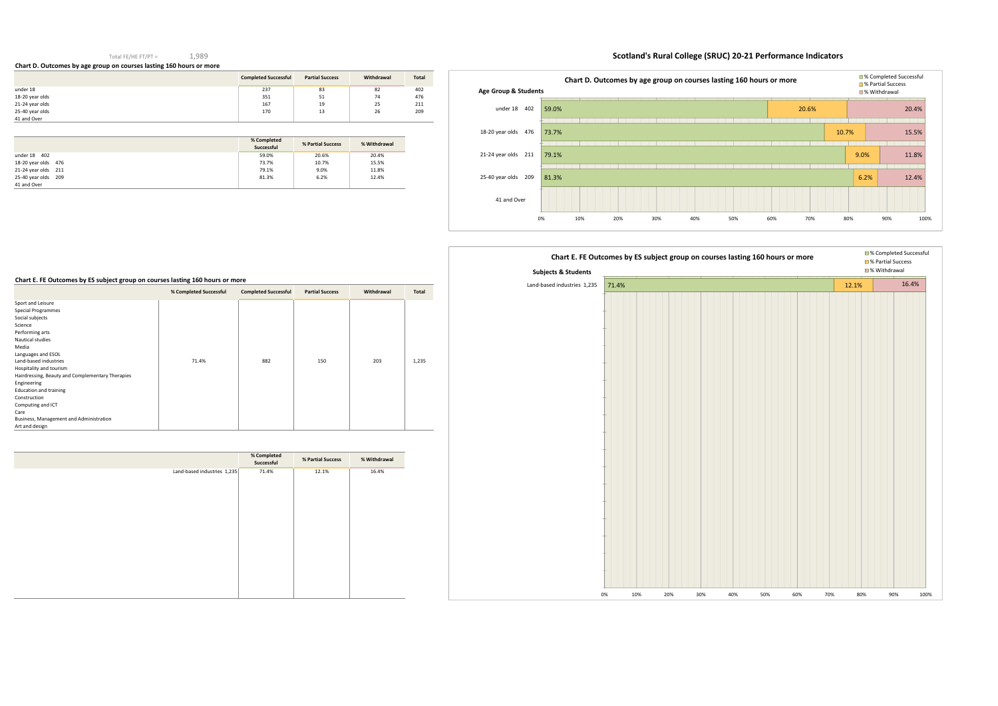### Total FE/HE FT/PT =1,989

**Chart D. Outcomes by age group on courses lasting 160 hours or more** 

# **Scotland's Rural College (SRUC) 20-21 Performance Indicators**

|                 | <b>Completed Successful</b> | <b>Partial Success</b> | Withdrawal | <b>Total</b> |
|-----------------|-----------------------------|------------------------|------------|--------------|
| under 18        | 237                         | 83                     | 82         | 402          |
| 18-20 year olds | 351                         | 51                     | 74         | 476          |
| 21-24 year olds | 167                         | 19                     | 25         | 211          |
| 25-40 year olds | 170                         | 13                     | 26         | 209          |
| 41 and Over     |                             |                        |            |              |

|                     | % Completed<br>Successful | % Partial Success | % Withdrawal |
|---------------------|---------------------------|-------------------|--------------|
| under 18 402        | 59.0%                     | 20.6%             | 20.4%        |
| 18-20 year olds 476 | 73.7%                     | 10.7%             | 15.5%        |
| 21-24 year olds 211 | 79.1%                     | 9.0%              | 11.8%        |
| 25-40 year olds 209 | 81.3%                     | 6.2%              | 12.4%        |
| 41 and Over         |                           |                   |              |

### **Chart E. FE Outcomes by ES subject group on courses lasting 160 hours or more**

|                                                                             | % Completed Successful | <b>Completed Successful</b> | <b>Partial Success</b> | Withdrawal | Total |
|-----------------------------------------------------------------------------|------------------------|-----------------------------|------------------------|------------|-------|
| Sport and Leisure<br>Special Programmes<br>Social subjects                  |                        |                             |                        |            |       |
| Science<br>Performing arts                                                  |                        |                             |                        |            |       |
| Nautical studies<br>Media                                                   |                        |                             |                        |            |       |
| Languages and ESOL<br>Land-based industries                                 | 71.4%                  | 882                         | 150                    | 203        | 1,235 |
| Hospitality and tourism<br>Hairdressing, Beauty and Complementary Therapies |                        |                             |                        |            |       |
| Engineering<br><b>Education and training</b><br>Construction                |                        |                             |                        |            |       |
| Computing and ICT<br>Care                                                   |                        |                             |                        |            |       |
| Business, Management and Administration<br>Art and design                   |                        |                             |                        |            |       |

|                             | % Completed<br>Successful | % Partial Success | % Withdrawal |
|-----------------------------|---------------------------|-------------------|--------------|
| Land-based industries 1,235 | 71.4%                     | 12.1%             | 16.4%        |
|                             |                           |                   |              |
|                             |                           |                   |              |
|                             |                           |                   |              |
|                             |                           |                   |              |
|                             |                           |                   |              |
|                             |                           |                   |              |
|                             |                           |                   |              |
|                             |                           |                   |              |
|                             |                           |                   |              |
|                             |                           |                   |              |





# 71.4%0% 10% 20% 30% 40% 50% 60% 70% 80% 90% 100%Land-based industries 1,235**Chart E. FE Outcomes by ES subject group on courses lasting 160 hours or more Chart E. FE Outcomes by ES subject group on courses lasting 160 hours or more Subjects & Students**